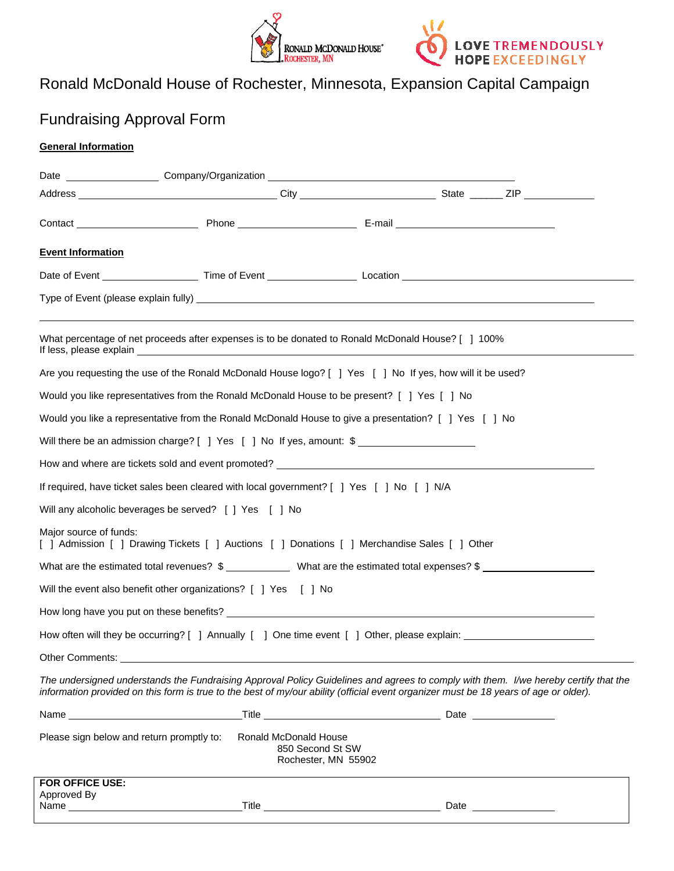



# Ronald McDonald House of Rochester, Minnesota, Expansion Capital Campaign

## Fundraising Approval Form

#### **General Information**

|                                                                                                                        | Date _______________________Company/Organization ________________________________                                                                                                                                                                                           |  |  |
|------------------------------------------------------------------------------------------------------------------------|-----------------------------------------------------------------------------------------------------------------------------------------------------------------------------------------------------------------------------------------------------------------------------|--|--|
|                                                                                                                        |                                                                                                                                                                                                                                                                             |  |  |
|                                                                                                                        |                                                                                                                                                                                                                                                                             |  |  |
| <b>Event Information</b>                                                                                               |                                                                                                                                                                                                                                                                             |  |  |
|                                                                                                                        |                                                                                                                                                                                                                                                                             |  |  |
|                                                                                                                        |                                                                                                                                                                                                                                                                             |  |  |
|                                                                                                                        | What percentage of net proceeds after expenses is to be donated to Ronald McDonald House? [ ] 100%                                                                                                                                                                          |  |  |
|                                                                                                                        | Are you requesting the use of the Ronald McDonald House logo? [ ] Yes [ ] No If yes, how will it be used?                                                                                                                                                                   |  |  |
|                                                                                                                        | Would you like representatives from the Ronald McDonald House to be present? [ ] Yes [ ] No                                                                                                                                                                                 |  |  |
| Would you like a representative from the Ronald McDonald House to give a presentation? [ ] Yes [ ] No                  |                                                                                                                                                                                                                                                                             |  |  |
| Will there be an admission charge? [ ] Yes [ ] No If yes, amount: \$                                                   |                                                                                                                                                                                                                                                                             |  |  |
|                                                                                                                        |                                                                                                                                                                                                                                                                             |  |  |
| If required, have ticket sales been cleared with local government? [ ] Yes [ ] No [ ] N/A                              |                                                                                                                                                                                                                                                                             |  |  |
| Will any alcoholic beverages be served? [ ] Yes [ ] No                                                                 |                                                                                                                                                                                                                                                                             |  |  |
| Major source of funds:<br>[ ] Admission [ ] Drawing Tickets [ ] Auctions [ ] Donations [ ] Merchandise Sales [ ] Other |                                                                                                                                                                                                                                                                             |  |  |
| What are the estimated total revenues? $\frac{2}{1}$ What are the estimated total expenses? $\frac{2}{1}$              |                                                                                                                                                                                                                                                                             |  |  |
|                                                                                                                        | Will the event also benefit other organizations? [ ] Yes [ ] No                                                                                                                                                                                                             |  |  |
|                                                                                                                        |                                                                                                                                                                                                                                                                             |  |  |
| How often will they be occurring? [ ] Annually [ ] One time event [ ] Other, please explain:                           |                                                                                                                                                                                                                                                                             |  |  |
| Other Comments:                                                                                                        |                                                                                                                                                                                                                                                                             |  |  |
|                                                                                                                        | The undersigned understands the Fundraising Approval Policy Guidelines and agrees to comply with them. I/we hereby certify that the<br>information provided on this form is true to the best of my/our ability (official event organizer must be 18 years of age or older). |  |  |
|                                                                                                                        |                                                                                                                                                                                                                                                                             |  |  |
| Please sign below and return promptly to:                                                                              | Ronald McDonald House<br>850 Second St SW<br>Rochester, MN 55902                                                                                                                                                                                                            |  |  |
| FOR OFFICE USE:                                                                                                        |                                                                                                                                                                                                                                                                             |  |  |
| Approved By                                                                                                            |                                                                                                                                                                                                                                                                             |  |  |